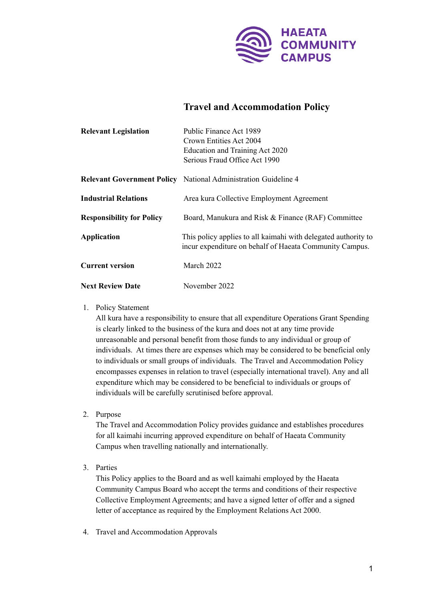

# **Travel and Accommodation Policy**

| <b>Relevant Legislation</b>      | Public Finance Act 1989                                                                                                   |
|----------------------------------|---------------------------------------------------------------------------------------------------------------------------|
|                                  | Crown Entities Act 2004                                                                                                   |
|                                  | Education and Training Act 2020                                                                                           |
|                                  | Serious Fraud Office Act 1990                                                                                             |
|                                  | <b>Relevant Government Policy</b> National Administration Guideline 4                                                     |
| <b>Industrial Relations</b>      | Area kura Collective Employment Agreement                                                                                 |
| <b>Responsibility for Policy</b> | Board, Manukura and Risk & Finance (RAF) Committee                                                                        |
| <b>Application</b>               | This policy applies to all kaimahi with delegated authority to<br>incur expenditure on behalf of Haeata Community Campus. |
| <b>Current version</b>           | March 2022                                                                                                                |
| <b>Next Review Date</b>          | November 2022                                                                                                             |

## 1. Policy Statement

All kura have a responsibility to ensure that all expenditure Operations Grant Spending is clearly linked to the business of the kura and does not at any time provide unreasonable and personal benefit from those funds to any individual or group of individuals. At times there are expenses which may be considered to be beneficial only to individuals or small groups of individuals. The Travel and Accommodation Policy encompasses expenses in relation to travel (especially international travel). Any and all expenditure which may be considered to be beneficial to individuals or groups of individuals will be carefully scrutinised before approval.

2. Purpose

The Travel and Accommodation Policy provides guidance and establishes procedures for all kaimahi incurring approved expenditure on behalf of Haeata Community Campus when travelling nationally and internationally.

3. Parties

This Policy applies to the Board and as well kaimahi employed by the Haeata Community Campus Board who accept the terms and conditions of their respective Collective Employment Agreements; and have a signed letter of offer and a signed letter of acceptance as required by the Employment Relations Act 2000.

4. Travel and Accommodation Approvals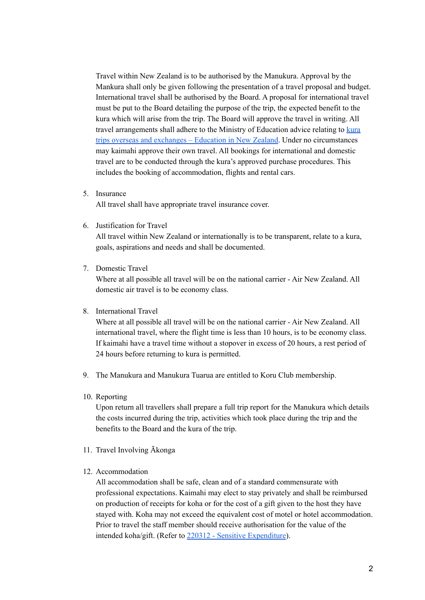Travel within New Zealand is to be authorised by the Manukura. Approval by the Mankura shall only be given following the presentation of a travel proposal and budget. International travel shall be authorised by the Board. A proposal for international travel must be put to the Board detailing the purpose of the trip, the expected benefit to the kura which will arise from the trip. The Board will approve the travel in writing. All travel arrangements shall adhere to the Ministry of Education advice relating to [kura](https://www.education.govt.nz/school/health-safety-and-wellbeing/school-trips-overseas-and-exchanges/) trips overseas and [exchanges](https://www.education.govt.nz/school/health-safety-and-wellbeing/school-trips-overseas-and-exchanges/) – Education in New Zealand. Under no circumstances may kaimahi approve their own travel. All bookings for international and domestic travel are to be conducted through the kura's approved purchase procedures. This includes the booking of accommodation, flights and rental cars.

5. Insurance

All travel shall have appropriate travel insurance cover.

6. Justification for Travel

All travel within New Zealand or internationally is to be transparent, relate to a kura, goals, aspirations and needs and shall be documented.

7. Domestic Travel

Where at all possible all travel will be on the national carrier - Air New Zealand. All domestic air travel is to be economy class.

## 8. International Travel

Where at all possible all travel will be on the national carrier - Air New Zealand. All international travel, where the flight time is less than 10 hours, is to be economy class. If kaimahi have a travel time without a stopover in excess of 20 hours, a rest period of 24 hours before returning to kura is permitted.

- 9. The Manukura and Manukura Tuarua are entitled to Koru Club membership.
- 10. Reporting

Upon return all travellers shall prepare a full trip report for the Manukura which details the costs incurred during the trip, activities which took place during the trip and the benefits to the Board and the kura of the trip.

- 11. Travel Involving Ākonga
- 12. Accommodation

All accommodation shall be safe, clean and of a standard commensurate with professional expectations. Kaimahi may elect to stay privately and shall be reimbursed on production of receipts for koha or for the cost of a gift given to the host they have stayed with. Koha may not exceed the equivalent cost of motel or hotel accommodation. Prior to travel the staff member should receive authorisation for the value of the intended koha/gift. (Refer to 220312 - Sensitive [Expenditure](https://docs.google.com/document/d/1WHQLyI4HUyfV_6c6atxhkjIlGlyrsTd__9LohcqZ7lk/edit)).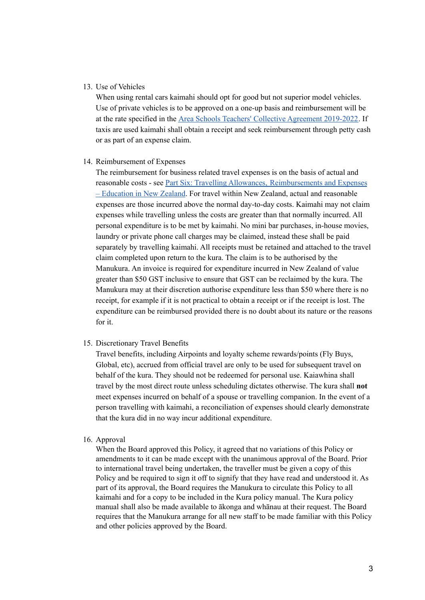#### 13. Use of Vehicles

When using rental cars kaimahi should opt for good but not superior model vehicles. Use of private vehicles is to be approved on a one-up basis and reimbursement will be at the rate specified in the Area Schools Teachers' Collective [Agreement](https://assets.education.govt.nz/public/Documents/School/Collective-Employment-Agreements/Area-School-Teachers-Collective-Agreement/Area-School-Teachers-Collective-Agreement-2019-2022.pdf) 2019-2022. If taxis are used kaimahi shall obtain a receipt and seek reimbursement through petty cash or as part of an expense claim.

#### 14. Reimbursement of Expenses

The reimbursement for business related travel expenses is on the basis of actual and reasonable costs - see Part Six: Travelling Allowances, [Reimbursements](https://www.education.govt.nz/school/people-and-employment/employment-agreements/collective-agreements/area-school-teachers-collective-agreement/part-six-travelling-allowances-reimbursements-and-expenses/) and Expenses – [Education](https://www.education.govt.nz/school/people-and-employment/employment-agreements/collective-agreements/area-school-teachers-collective-agreement/part-six-travelling-allowances-reimbursements-and-expenses/) in New Zealand. For travel within New Zealand, actual and reasonable expenses are those incurred above the normal day-to-day costs. Kaimahi may not claim expenses while travelling unless the costs are greater than that normally incurred. All personal expenditure is to be met by kaimahi. No mini bar purchases, in-house movies, laundry or private phone call charges may be claimed, instead these shall be paid separately by travelling kaimahi. All receipts must be retained and attached to the travel claim completed upon return to the kura. The claim is to be authorised by the Manukura. An invoice is required for expenditure incurred in New Zealand of value greater than \$50 GST inclusive to ensure that GST can be reclaimed by the kura. The Manukura may at their discretion authorise expenditure less than \$50 where there is no receipt, for example if it is not practical to obtain a receipt or if the receipt is lost. The expenditure can be reimbursed provided there is no doubt about its nature or the reasons for it.

#### 15. Discretionary Travel Benefits

Travel benefits, including Airpoints and loyalty scheme rewards/points (Fly Buys, Global, etc), accrued from official travel are only to be used for subsequent travel on behalf of the kura. They should not be redeemed for personal use. Kaiawhina shall travel by the most direct route unless scheduling dictates otherwise. The kura shall **not** meet expenses incurred on behalf of a spouse or travelling companion. In the event of a person travelling with kaimahi, a reconciliation of expenses should clearly demonstrate that the kura did in no way incur additional expenditure.

#### 16. Approval

When the Board approved this Policy, it agreed that no variations of this Policy or amendments to it can be made except with the unanimous approval of the Board. Prior to international travel being undertaken, the traveller must be given a copy of this Policy and be required to sign it off to signify that they have read and understood it. As part of its approval, the Board requires the Manukura to circulate this Policy to all kaimahi and for a copy to be included in the Kura policy manual. The Kura policy manual shall also be made available to ākonga and whānau at their request. The Board requires that the Manukura arrange for all new staff to be made familiar with this Policy and other policies approved by the Board.